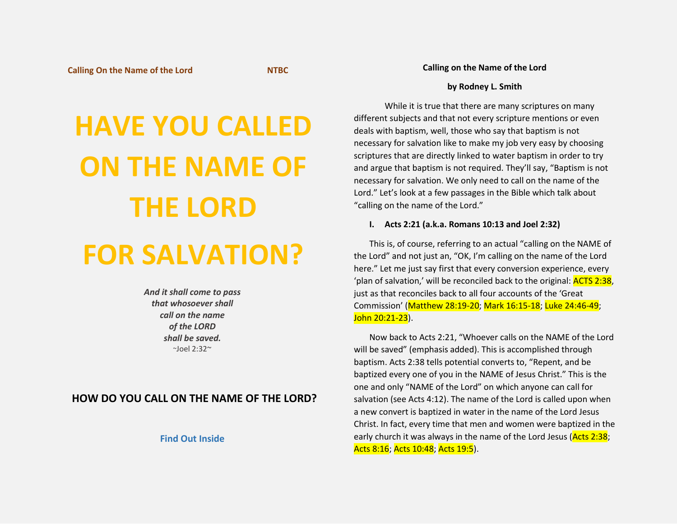# **HAVE YOU CALLED ON THE NAME OF THE LORD**

## **FOR SALVATION?**

*And it shall come to pass that whosoever shall call on the name of the LORD shall be saved.*  $~$ ~Joel 2:32~

### **HOW DO YOU CALL ON THE NAME OF THE LORD?**

**Find Out Inside**

#### **Calling on the Name of the Lord**

#### **by Rodney L. Smith**

While it is true that there are many scriptures on many different subjects and that not every scripture mentions or even deals with baptism, well, those who say that baptism is not necessary for salvation like to make my job very easy by choosing scriptures that are directly linked to water baptism in order to try and argue that baptism is not required. They'll say, "Baptism is not necessary for salvation. We only need to call on the name of the Lord." Let's look at a few passages in the Bible which talk about "calling on the name of the Lord."

#### **I. Acts 2:21 (a.k.a. Romans 10:13 and Joel 2:32)**

This is, of course, referring to an actual "calling on the NAME of the Lord" and not just an, "OK, I'm calling on the name of the Lord here." Let me just say first that every conversion experience, every 'plan of salvation,' will be reconciled back to the original: **ACTS 2:38**, just as that reconciles back to all four accounts of the 'Great Commission' (Matthew 28:19-20; Mark 16:15-18; Luke 24:46-49; John 20:21-23).

Now back to Acts 2:21, "Whoever calls on the NAME of the Lord will be saved" (emphasis added). This is accomplished through baptism. Acts 2:38 tells potential converts to, "Repent, and be baptized every one of you in the NAME of Jesus Christ." This is the one and only "NAME of the Lord" on which anyone can call for salvation (see Acts 4:12). The name of the Lord is called upon when a new convert is baptized in water in the name of the Lord Jesus Christ. In fact, every time that men and women were baptized in the early church it was always in the name of the Lord Jesus (Acts 2:38; Acts 8:16; Acts 10:48; Acts 19:5).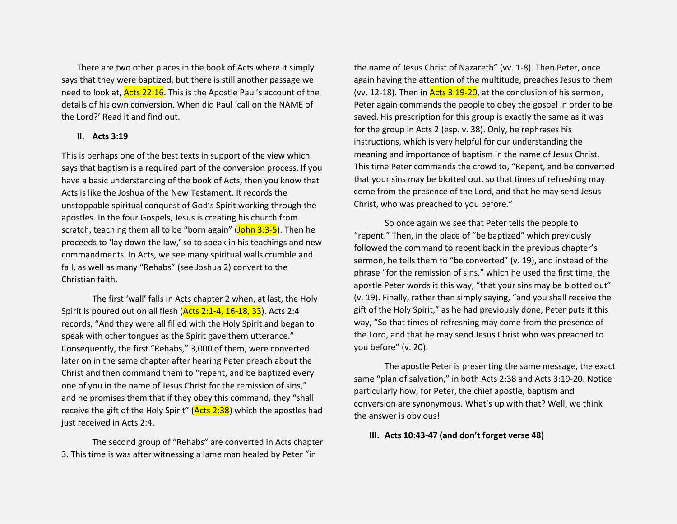There are two other places in the book of Acts where it simply says that they were baptized, but there is still another passage we need to look at, Acts 22:16. This is the Apostle Paul's account of the details of his own conversion. When did Paul 'call on the NAME of the Lord?' Read it and find out.

#### **II. Acts 3:19**

This is perhaps one of the best texts in support of the view which says that baptism is a required part of the conversion process. If you have a basic understanding of the book of Acts, then you know that Acts is like the Joshua of the New Testament. It records the unstoppable spiritual conquest of God's Spirit working through the apostles. In the four Gospels, Jesus is creating his church from scratch, teaching them all to be "born again" (John 3:3-5). Then he proceeds to 'lay down the law,' so to speak in his teachings and new commandments. In Acts, we see many spiritual walls crumble and fall, as well as many "Rehabs" (see Joshua 2) convert to the Christian faith.

The first 'wall' falls in Acts chapter 2 when, at last, the Holy Spirit is poured out on all flesh (Acts 2:1-4, 16-18, 33). Acts 2:4 records, "And they were all filled with the Holy Spirit and began to speak with other tongues as the Spirit gave them utterance." Consequently, the first "Rehabs," 3,000 of them, were converted later on in the same chapter after hearing Peter preach about the Christ and then command them to "repent, and be baptized every one of you in the name of Jesus Christ for the remission of sins," and he promises them that if they obey this command, they "shall receive the gift of the Holy Spirit" ( $Acts$  2:38) which the apostles had just received in Acts 2:4.

The second group of "Rehabs" are converted in Acts chapter 3. This time is was after witnessing a lame man healed by Peter "in

the name of Jesus Christ of Nazareth" (vv. 1-8). Then Peter, once again having the attention of the multitude, preaches Jesus to them (vv. 12-18). Then in  $Acts$  3:19-20, at the conclusion of his sermon, Peter again commands the people to obey the gospel in order to be saved. His prescription for this group is exactly the same as it was for the group in Acts 2 (esp. v. 38). Only, he rephrases his instructions, which is very helpful for our understanding the meaning and importance of baptism in the name of Jesus Christ. This time Peter commands the crowd to, "Repent, and be converted that your sins may be blotted out, so that times of refreshing may come from the presence of the Lord, and that he may send Jesus Christ, who was preached to you before."

So once again we see that Peter tells the people to "repent." Then, in the place of "be baptized" which previously followed the command to repent back in the previous chapter's sermon, he tells them to "be converted" (v. 19), and instead of the phrase "for the remission of sins," which he used the first time, the apostle Peter words it this way, "that your sins may be blotted out" (v. 19). Finally, rather than simply saying, "and you shall receive the gift of the Holy Spirit," as he had previously done, Peter puts it this way, "So that times of refreshing may come from the presence of the Lord, and that he may send Jesus Christ who was preached to you before" (v. 20).

The apostle Peter is presenting the same message, the exact same "plan of salvation," in both Acts 2:38 and Acts 3:19-20. Notice particularly how, for Peter, the chief apostle, baptism and conversion are synonymous. What's up with that? Well, we think the answer is obvious!

#### **III. Acts 10:43-47 (and don't forget verse 48)**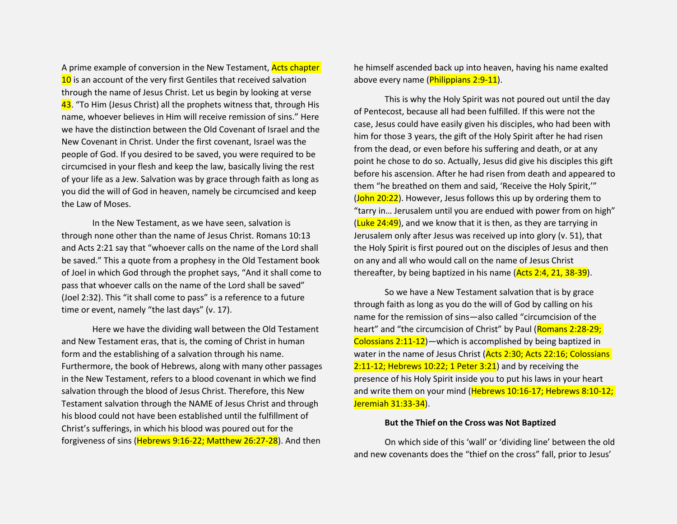A prime example of conversion in the New Testament, **Acts chapter** 10 is an account of the very first Gentiles that received salvation through the name of Jesus Christ. Let us begin by looking at verse 43. "To Him (Jesus Christ) all the prophets witness that, through His name, whoever believes in Him will receive remission of sins." Here we have the distinction between the Old Covenant of Israel and the New Covenant in Christ. Under the first covenant, Israel was the people of God. If you desired to be saved, you were required to be circumcised in your flesh and keep the law, basically living the rest of your life as a Jew. Salvation was by grace through faith as long as you did the will of God in heaven, namely be circumcised and keep the Law of Moses.

In the New Testament, as we have seen, salvation is through none other than the name of Jesus Christ. Romans 10:13 and Acts 2:21 say that "whoever calls on the name of the Lord shall be saved." This a quote from a prophesy in the Old Testament book of Joel in which God through the prophet says, "And it shall come to pass that whoever calls on the name of the Lord shall be saved" (Joel 2:32). This "it shall come to pass" is a reference to a future time or event, namely "the last days" (v. 17).

Here we have the dividing wall between the Old Testament and New Testament eras, that is, the coming of Christ in human form and the establishing of a salvation through his name. Furthermore, the book of Hebrews, along with many other passages in the New Testament, refers to a blood covenant in which we find salvation through the blood of Jesus Christ. Therefore, this New Testament salvation through the NAME of Jesus Christ and through his blood could not have been established until the fulfillment of Christ's sufferings, in which his blood was poured out for the forgiveness of sins (Hebrews 9:16-22; Matthew 26:27-28). And then

he himself ascended back up into heaven, having his name exalted above every name (Philippians 2:9-11).

This is why the Holy Spirit was not poured out until the day of Pentecost, because all had been fulfilled. If this were not the case, Jesus could have easily given his disciples, who had been with him for those 3 years, the gift of the Holy Spirit after he had risen from the dead, or even before his suffering and death, or at any point he chose to do so. Actually, Jesus did give his disciples this gift before his ascension. After he had risen from death and appeared to them "he breathed on them and said, 'Receive the Holy Spirit,'" (John 20:22). However, Jesus follows this up by ordering them to "tarry in… Jerusalem until you are endued with power from on high"  $(Luke 24:49)$ , and we know that it is then, as they are tarrying in Jerusalem only after Jesus was received up into glory (v. 51), that the Holy Spirit is first poured out on the disciples of Jesus and then on any and all who would call on the name of Jesus Christ thereafter, by being baptized in his name (Acts 2:4, 21, 38-39).

So we have a New Testament salvation that is by grace through faith as long as you do the will of God by calling on his name for the remission of sins—also called "circumcision of the heart" and "the circumcision of Christ" by Paul (Romans 2:28-29; Colossians 2:11-12)—which is accomplished by being baptized in water in the name of Jesus Christ (Acts 2:30; Acts 22:16; Colossians 2:11-12; Hebrews 10:22; 1 Peter 3:21) and by receiving the presence of his Holy Spirit inside you to put his laws in your heart and write them on your mind (Hebrews 10:16-17; Hebrews 8:10-12; Jeremiah 31:33-34).

#### **But the Thief on the Cross was Not Baptized**

On which side of this 'wall' or 'dividing line' between the old and new covenants does the "thief on the cross" fall, prior to Jesus'